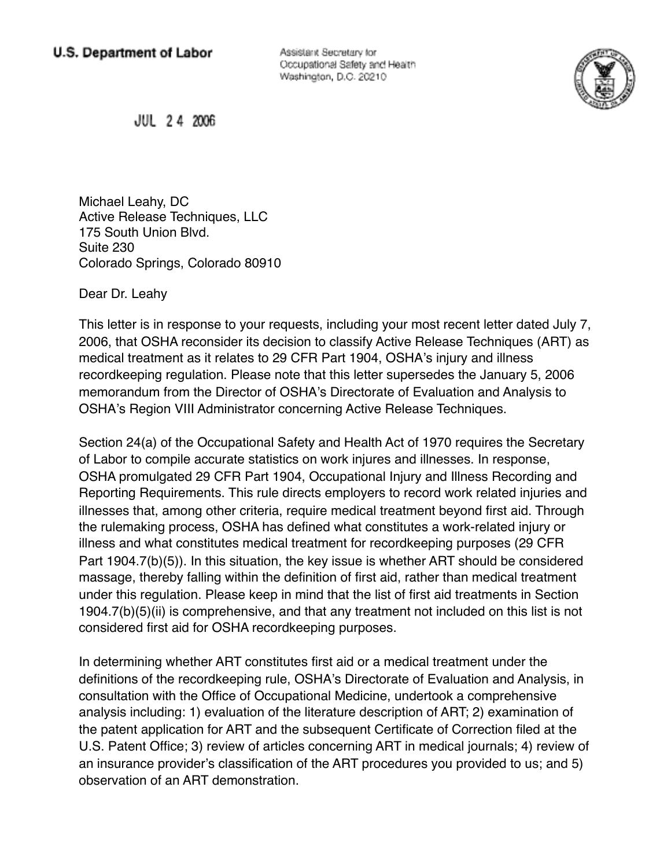Assistant Secretary for Occupational Safety and Health Washington, D.C. 20210



JUL 24 2006

Michael Leahy, DC Active Release Techniques, LLC 175 South Union Blvd. Suite 230 Colorado Springs, Colorado 80910

Dear Dr. Leahy

This letter is in response to your requests, including your most recent letter dated July 7, 2006, that OSHA reconsider its decision to classify Active Release Techniques (ART) as medical treatment as it relates to 29 CFR Part 1904, OSHA's injury and illness recordkeeping regulation. Please note that this letter supersedes the January 5, 2006 memorandum from the Director of OSHA's Directorate of Evaluation and Analysis to OSHA's Region VIII Administrator concerning Active Release Techniques.

Section 24(a) of the Occupational Safety and Health Act of 1970 requires the Secretary of Labor to compile accurate statistics on work injures and illnesses. In response, OSHA promulgated 29 CFR Part 1904, Occupational Injury and Illness Recording and Reporting Requirements. This rule directs employers to record work related injuries and illnesses that, among other criteria, require medical treatment beyond first aid. Through the rulemaking process, OSHA has defined what constitutes a work-related injury or illness and what constitutes medical treatment for recordkeeping purposes (29 CFR Part 1904.7(b)(5)). In this situation, the key issue is whether ART should be considered massage, thereby falling within the definition of first aid, rather than medical treatment under this regulation. Please keep in mind that the list of first aid treatments in Section 1904.7(b)(5)(ii) is comprehensive, and that any treatment not included on this list is not considered first aid for OSHA recordkeeping purposes.

In determining whether ART constitutes first aid or a medical treatment under the definitions of the recordkeeping rule, OSHA's Directorate of Evaluation and Analysis, in consultation with the Office of Occupational Medicine, undertook a comprehensive analysis including: 1) evaluation of the literature description of ART; 2) examination of the patent application for ART and the subsequent Certificate of Correction filed at the U.S. Patent Office; 3) review of articles concerning ART in medical journals; 4) review of an insurance provider's classification of the ART procedures you provided to us; and 5) observation of an ART demonstration.